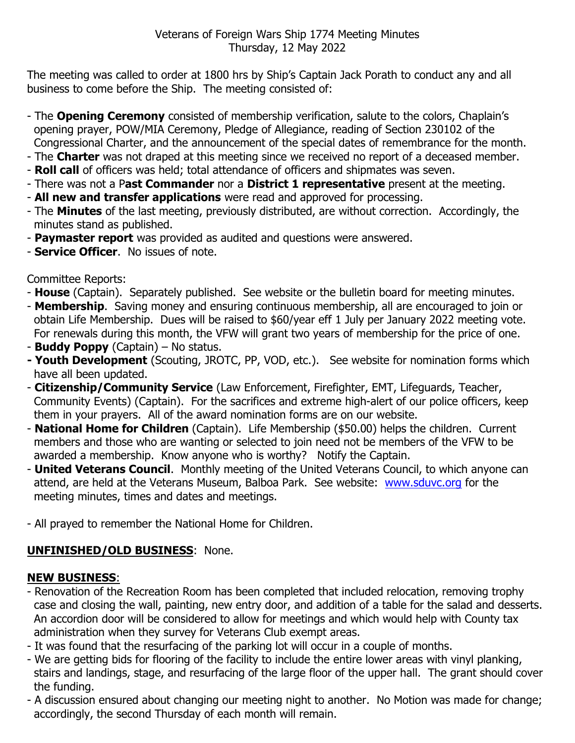The meeting was called to order at 1800 hrs by Ship's Captain Jack Porath to conduct any and all business to come before the Ship. The meeting consisted of:

- The **Opening Ceremony** consisted of membership verification, salute to the colors, Chaplain's opening prayer, POW/MIA Ceremony, Pledge of Allegiance, reading of Section 230102 of the Congressional Charter, and the announcement of the special dates of remembrance for the month.
- The **Charter** was not draped at this meeting since we received no report of a deceased member.
- **Roll call** of officers was held; total attendance of officers and shipmates was seven.
- There was not a P**ast Commander** nor a **District 1 representative** present at the meeting.
- **All new and transfer applications** were read and approved for processing.
- The **Minutes** of the last meeting, previously distributed, are without correction. Accordingly, the minutes stand as published.
- **Paymaster report** was provided as audited and questions were answered.
- **Service Officer**. No issues of note.

Committee Reports:

- **House** (Captain). Separately published. See website or the bulletin board for meeting minutes.
- **Membership**. Saving money and ensuring continuous membership, all are encouraged to join or obtain Life Membership. Dues will be raised to \$60/year eff 1 July per January 2022 meeting vote. For renewals during this month, the VFW will grant two years of membership for the price of one.
- **Buddy Poppy** (Captain) No status.
- **- Youth Development** (Scouting, JROTC, PP, VOD, etc.). See website for nomination forms which have all been updated.
- **Citizenship/Community Service** (Law Enforcement, Firefighter, EMT, Lifeguards, Teacher, Community Events) (Captain). For the sacrifices and extreme high-alert of our police officers, keep them in your prayers. All of the award nomination forms are on our website.
- **National Home for Children** (Captain). Life Membership (\$50.00) helps the children. Current members and those who are wanting or selected to join need not be members of the VFW to be awarded a membership. Know anyone who is worthy? Notify the Captain.
- **United Veterans Council**. Monthly meeting of the United Veterans Council, to which anyone can attend, are held at the Veterans Museum, Balboa Park. See website: [www.sduvc.org](http://www.sduvc.org/) for the meeting minutes, times and dates and meetings.
- All prayed to remember the National Home for Children.

## **UNFINISHED/OLD BUSINESS**: None.

## **NEW BUSINESS**:

- Renovation of the Recreation Room has been completed that included relocation, removing trophy case and closing the wall, painting, new entry door, and addition of a table for the salad and desserts. An accordion door will be considered to allow for meetings and which would help with County tax administration when they survey for Veterans Club exempt areas.
- It was found that the resurfacing of the parking lot will occur in a couple of months.
- We are getting bids for flooring of the facility to include the entire lower areas with vinyl planking, stairs and landings, stage, and resurfacing of the large floor of the upper hall. The grant should cover the funding.
- A discussion ensured about changing our meeting night to another. No Motion was made for change; accordingly, the second Thursday of each month will remain.